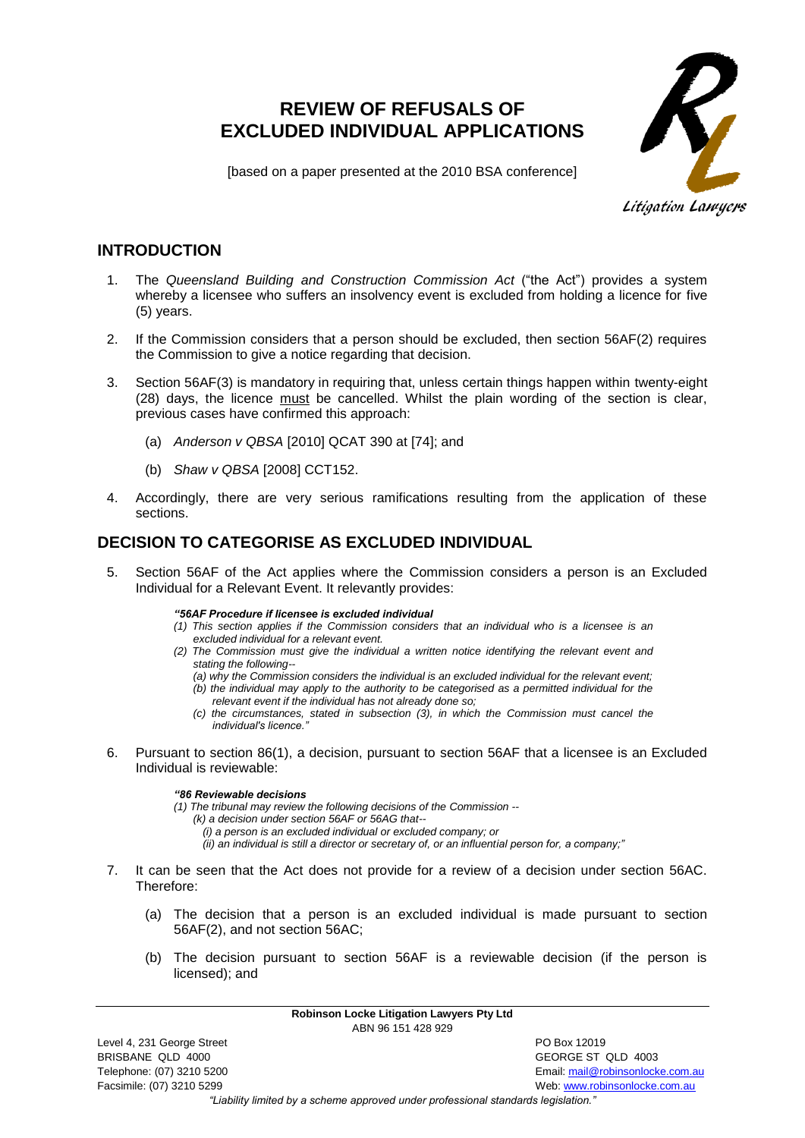# **REVIEW OF REFUSALS OF EXCLUDED INDIVIDUAL APPLICATIONS**



[based on a paper presented at the 2010 BSA conference]

# **INTRODUCTION**

- 1. The *Queensland Building and Construction Commission Act* ("the Act") provides a system whereby a licensee who suffers an insolvency event is excluded from holding a licence for five (5) years.
- 2. If the Commission considers that a person should be excluded, then section 56AF(2) requires the Commission to give a notice regarding that decision.
- 3. Section 56AF(3) is mandatory in requiring that, unless certain things happen within twenty-eight (28) days, the licence must be cancelled. Whilst the plain wording of the section is clear, previous cases have confirmed this approach:
	- (a) *Anderson v QBSA* [2010] QCAT 390 at [74]; and
	- (b) *Shaw v QBSA* [2008] CCT152.
- 4. Accordingly, there are very serious ramifications resulting from the application of these sections.

# **DECISION TO CATEGORISE AS EXCLUDED INDIVIDUAL**

- 5. Section 56AF of the Act applies where the Commission considers a person is an Excluded Individual for a Relevant Event. It relevantly provides:
	- *"56AF Procedure if licensee is excluded individual*
	- *(1) This section applies if the Commission considers that an individual who is a licensee is an excluded individual for a relevant event.*
	- *(2) The Commission must give the individual a written notice identifying the relevant event and stating the following--*
		- *(a) why the Commission considers the individual is an excluded individual for the relevant event; (b) the individual may apply to the authority to be categorised as a permitted individual for the relevant event if the individual has not already done so;*
		- *(c) the circumstances, stated in subsection (3), in which the Commission must cancel the individual's licence.*
- 6. Pursuant to section 86(1), a decision, pursuant to section 56AF that a licensee is an Excluded Individual is reviewable:

#### *"86 Reviewable decisions*

*(1) The tribunal may review the following decisions of the Commission --*

- *(k) a decision under section 56AF or 56AG that--*
	- *(i) a person is an excluded individual or excluded company; or*
	- *(ii) an individual is still a director or secretary of, or an influential person for, a company;"*
- 7. It can be seen that the Act does not provide for a review of a decision under section 56AC. Therefore:
	- (a) The decision that a person is an excluded individual is made pursuant to section 56AF(2), and not section 56AC;
	- (b) The decision pursuant to section 56AF is a reviewable decision (if the person is licensed); and
		- **Robinson Locke Litigation Lawyers Pty Ltd** ABN 96 151 428 929

Telephone: (07) 3210 5200 Email[: mail@robinsonlocke.com.au](mailto:mail@robinsonlocke.com.au) Facsimile: (07) 3210 5299 Web: [www.robinsonlocke.com.au](http://www.robinsonlocke.com.au/)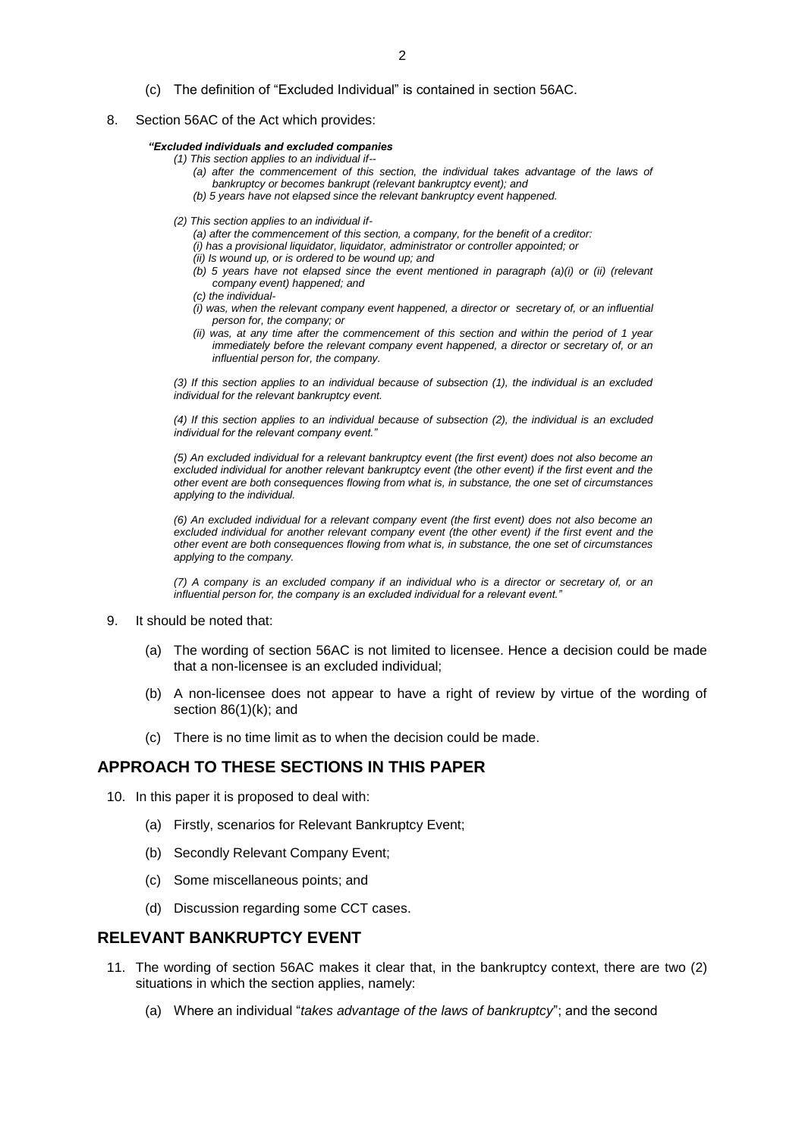- (c) The definition of "Excluded Individual" is contained in section 56AC.
- 8. Section 56AC of the Act which provides:

#### *"Excluded individuals and excluded companies*

- *(1) This section applies to an individual if--*
	- *(a) after the commencement of this section, the individual takes advantage of the laws of bankruptcy or becomes bankrupt (relevant bankruptcy event); and*
	- *(b) 5 years have not elapsed since the relevant bankruptcy event happened.*
- *(2) This section applies to an individual if-*

*(a) after the commencement of this section, a company, for the benefit of a creditor:*

- *(i) has a provisional liquidator, liquidator, administrator or controller appointed; or*
- *(ii) Is wound up, or is ordered to be wound up; and*
- *(b) 5 years have not elapsed since the event mentioned in paragraph (a)(i) or (ii) (relevant company event) happened; and*
- *(c) the individual-*
- *(i) was, when the relevant company event happened, a director or secretary of, or an influential person for, the company; or*
- *(ii) was, at any time after the commencement of this section and within the period of 1 year immediately before the relevant company event happened, a director or secretary of, or an influential person for, the company.*

*(3) If this section applies to an individual because of subsection (1), the individual is an excluded individual for the relevant bankruptcy event.* 

*(4) If this section applies to an individual because of subsection (2), the individual is an excluded individual for the relevant company event."*

*(5) An excluded individual for a relevant bankruptcy event (the first event) does not also become an*  excluded individual for another relevant bankruptcy event (the other event) if the first event and the *other event are both consequences flowing from what is, in substance, the one set of circumstances applying to the individual.* 

*(6) An excluded individual for a relevant company event (the first event) does not also become an excluded individual for another relevant company event (the other event) if the first event and the other event are both consequences flowing from what is, in substance, the one set of circumstances applying to the company.* 

*(7) A company is an excluded company if an individual who is a director or secretary of, or an influential person for, the company is an excluded individual for a relevant event."*

#### 9. It should be noted that:

- (a) The wording of section 56AC is not limited to licensee. Hence a decision could be made that a non-licensee is an excluded individual;
- (b) A non-licensee does not appear to have a right of review by virtue of the wording of section 86(1)(k); and
- (c) There is no time limit as to when the decision could be made.

# **APPROACH TO THESE SECTIONS IN THIS PAPER**

- 10. In this paper it is proposed to deal with:
	- (a) Firstly, scenarios for Relevant Bankruptcy Event;
	- (b) Secondly Relevant Company Event;
	- (c) Some miscellaneous points; and
	- (d) Discussion regarding some CCT cases.

# **RELEVANT BANKRUPTCY EVENT**

- 11. The wording of section 56AC makes it clear that, in the bankruptcy context, there are two (2) situations in which the section applies, namely:
	- (a) Where an individual "*takes advantage of the laws of bankruptcy*"; and the second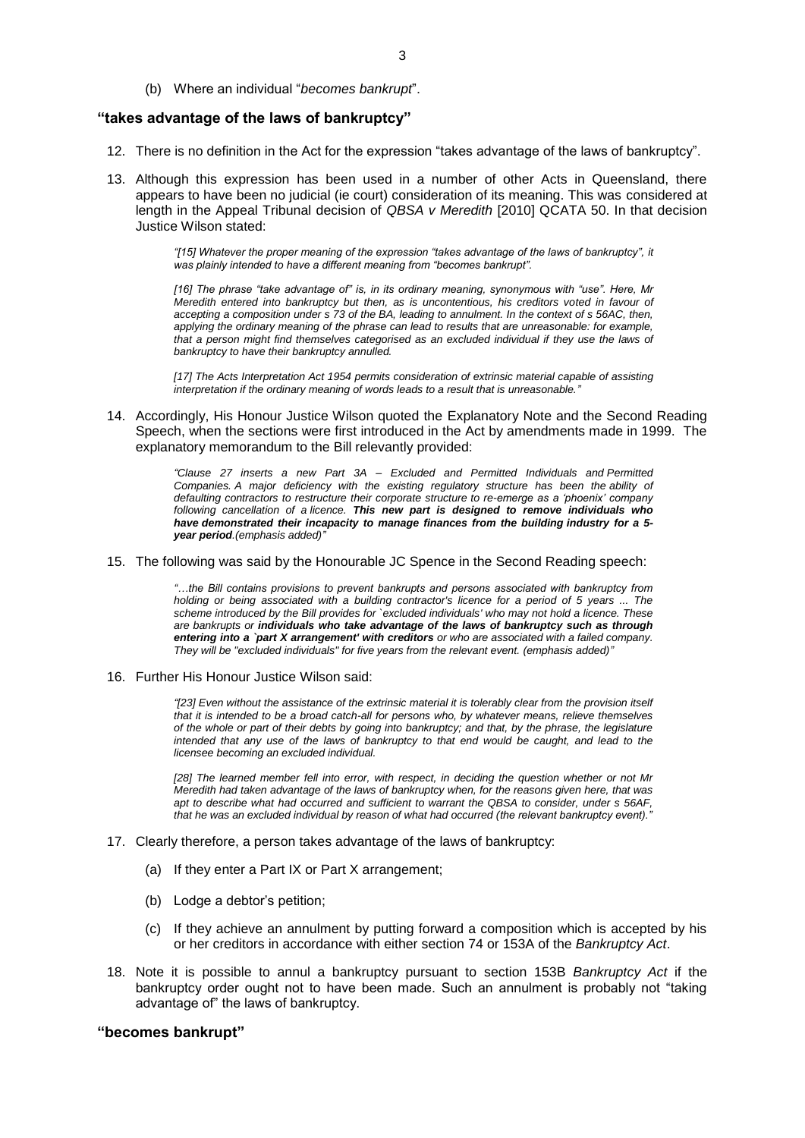(b) Where an individual "*becomes bankrupt*".

# **"takes advantage of the laws of bankruptcy"**

- 12. There is no definition in the Act for the expression "takes advantage of the laws of bankruptcy".
- 13. Although this expression has been used in a number of other Acts in Queensland, there appears to have been no judicial (ie court) consideration of its meaning. This was considered at length in the Appeal Tribunal decision of *QBSA v Meredith* [2010] QCATA 50. In that decision Justice Wilson stated:

*"[15] Whatever the proper meaning of the expression "takes advantage of the laws of bankruptcy", it was plainly intended to have a different meaning from "becomes bankrupt".*

*[16] The phrase "take advantage of" is, in its ordinary meaning, synonymous with "use". Here, Mr Meredith entered into bankruptcy but then, as is uncontentious, his creditors voted in favour of accepting a composition under s 73 of the BA, leading to annulment. In the context of s 56AC, then, applying the ordinary meaning of the phrase can lead to results that are unreasonable: for example,*  that a person might find themselves categorised as an excluded individual if they use the laws of *bankruptcy to have their bankruptcy annulled.*

*[17] The Acts Interpretation Act 1954 permits consideration of extrinsic material capable of assisting interpretation if the ordinary meaning of words leads to a result that is unreasonable."*

14. Accordingly, His Honour Justice Wilson quoted the Explanatory Note and the Second Reading Speech, when the sections were first introduced in the Act by amendments made in 1999. The explanatory memorandum to the Bill relevantly provided:

> *"Clause 27 inserts a new Part 3A – Excluded and Permitted Individuals and Permitted Companies. A major deficiency with the existing regulatory structure has been the ability of defaulting contractors to restructure their corporate structure to re-emerge as a 'phoenix' company following cancellation of a licence. This new part is designed to remove individuals who have demonstrated their incapacity to manage finances from the building industry for a 5 year period.(emphasis added)"*

## 15. The following was said by the Honourable JC Spence in the Second Reading speech:

*"…the Bill contains provisions to prevent bankrupts and persons associated with bankruptcy from holding or being associated with a building contractor's licence for a period of 5 years ... The scheme introduced by the Bill provides for `excluded individuals' who may not hold a licence. These are bankrupts or individuals who take advantage of the laws of bankruptcy such as through entering into a `part X arrangement' with creditors or who are associated with a failed company. They will be "excluded individuals" for five years from the relevant event. (emphasis added)"*

16. Further His Honour Justice Wilson said:

*"[23] Even without the assistance of the extrinsic material it is tolerably clear from the provision itself that it is intended to be a broad catch-all for persons who, by whatever means, relieve themselves of the whole or part of their debts by going into bankruptcy; and that, by the phrase, the legislature*  intended that any use of the laws of bankruptcy to that end would be caught, and lead to the *licensee becoming an excluded individual.* 

*[28] The learned member fell into error, with respect, in deciding the question whether or not Mr Meredith had taken advantage of the laws of bankruptcy when, for the reasons given here, that was apt to describe what had occurred and sufficient to warrant the QBSA to consider, under s 56AF,*  that he was an excluded individual by reason of what had occurred (the relevant bankruptcy event).

- 17. Clearly therefore, a person takes advantage of the laws of bankruptcy:
	- (a) If they enter a Part IX or Part X arrangement;
	- (b) Lodge a debtor's petition;
	- (c) If they achieve an annulment by putting forward a composition which is accepted by his or her creditors in accordance with either section 74 or 153A of the *Bankruptcy Act*.
- 18. Note it is possible to annul a bankruptcy pursuant to section 153B *Bankruptcy Act* if the bankruptcy order ought not to have been made. Such an annulment is probably not "taking advantage of" the laws of bankruptcy.

# **"becomes bankrupt"**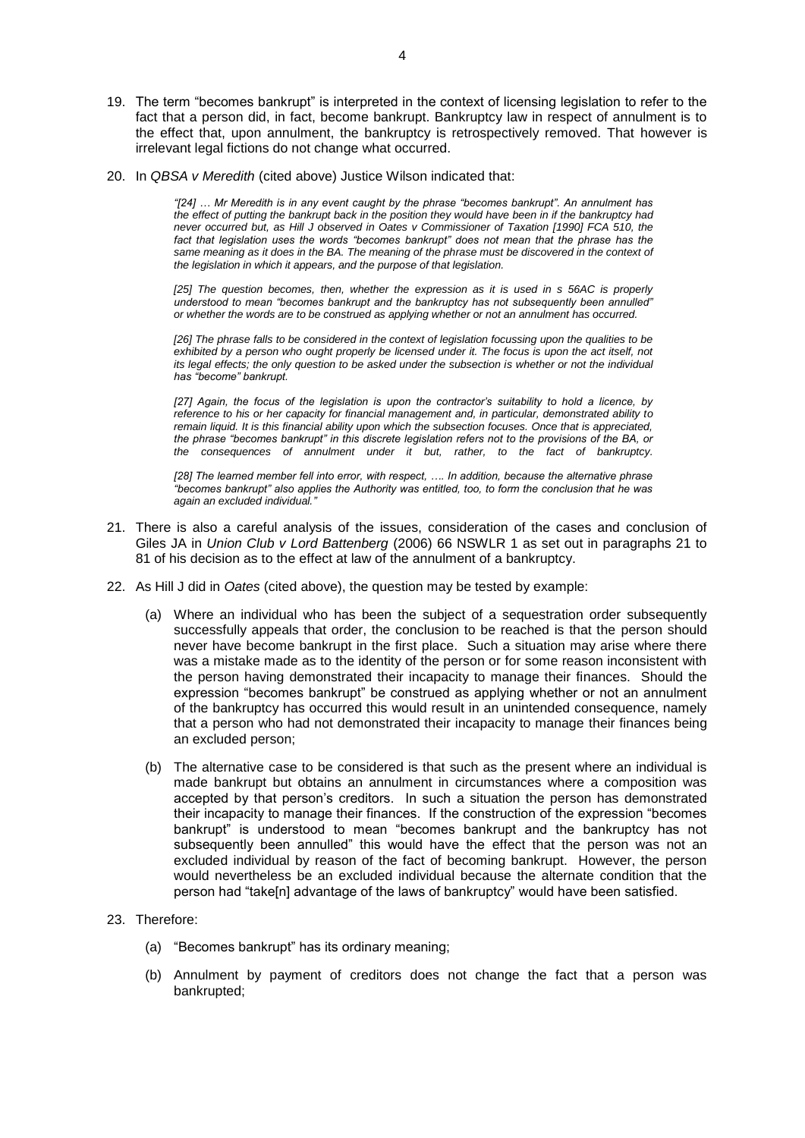- 19. The term "becomes bankrupt" is interpreted in the context of licensing legislation to refer to the fact that a person did, in fact, become bankrupt. Bankruptcy law in respect of annulment is to the effect that, upon annulment, the bankruptcy is retrospectively removed. That however is irrelevant legal fictions do not change what occurred.
- 20. In *QBSA v Meredith* (cited above) Justice Wilson indicated that:

*"[24] … Mr Meredith is in any event caught by the phrase "becomes bankrupt". An annulment has the effect of putting the bankrupt back in the position they would have been in if the bankruptcy had never occurred but, as Hill J observed in Oates v Commissioner of Taxation [1990] FCA 510, the*  fact that legislation uses the words "becomes bankrupt" does not mean that the phrase has the same meaning as it does in the BA. The meaning of the phrase must be discovered in the context of *the legislation in which it appears, and the purpose of that legislation.* 

*[25] The question becomes, then, whether the expression as it is used in s 56AC is properly understood to mean "becomes bankrupt and the bankruptcy has not subsequently been annulled" or whether the words are to be construed as applying whether or not an annulment has occurred.* 

*[26] The phrase falls to be considered in the context of legislation focussing upon the qualities to be*  exhibited by a person who ought properly be licensed under it. The focus is upon the act itself, not *its legal effects; the only question to be asked under the subsection is whether or not the individual has "become" bankrupt.*

*[27] Again, the focus of the legislation is upon the contractor's suitability to hold a licence, by reference to his or her capacity for financial management and, in particular, demonstrated ability to remain liquid. It is this financial ability upon which the subsection focuses. Once that is appreciated, the phrase "becomes bankrupt" in this discrete legislation refers not to the provisions of the BA, or the consequences of annulment under it but, rather, to the fact of bankruptcy.*

[28] The learned member fell into error, with respect, .... In addition, because the alternative phrase *"becomes bankrupt" also applies the Authority was entitled, too, to form the conclusion that he was again an excluded individual."*

- 21. There is also a careful analysis of the issues, consideration of the cases and conclusion of Giles JA in *Union Club v Lord Battenberg* (2006) 66 NSWLR 1 as set out in paragraphs 21 to 81 of his decision as to the effect at law of the annulment of a bankruptcy.
- 22. As Hill J did in *Oates* (cited above), the question may be tested by example:
	- (a) Where an individual who has been the subject of a sequestration order subsequently successfully appeals that order, the conclusion to be reached is that the person should never have become bankrupt in the first place. Such a situation may arise where there was a mistake made as to the identity of the person or for some reason inconsistent with the person having demonstrated their incapacity to manage their finances. Should the expression "becomes bankrupt" be construed as applying whether or not an annulment of the bankruptcy has occurred this would result in an unintended consequence, namely that a person who had not demonstrated their incapacity to manage their finances being an excluded person;
	- (b) The alternative case to be considered is that such as the present where an individual is made bankrupt but obtains an annulment in circumstances where a composition was accepted by that person's creditors. In such a situation the person has demonstrated their incapacity to manage their finances. If the construction of the expression "becomes bankrupt" is understood to mean "becomes bankrupt and the bankruptcy has not subsequently been annulled" this would have the effect that the person was not an excluded individual by reason of the fact of becoming bankrupt. However, the person would nevertheless be an excluded individual because the alternate condition that the person had "take[n] advantage of the laws of bankruptcy" would have been satisfied.

### 23. Therefore:

- (a) "Becomes bankrupt" has its ordinary meaning;
- (b) Annulment by payment of creditors does not change the fact that a person was bankrupted;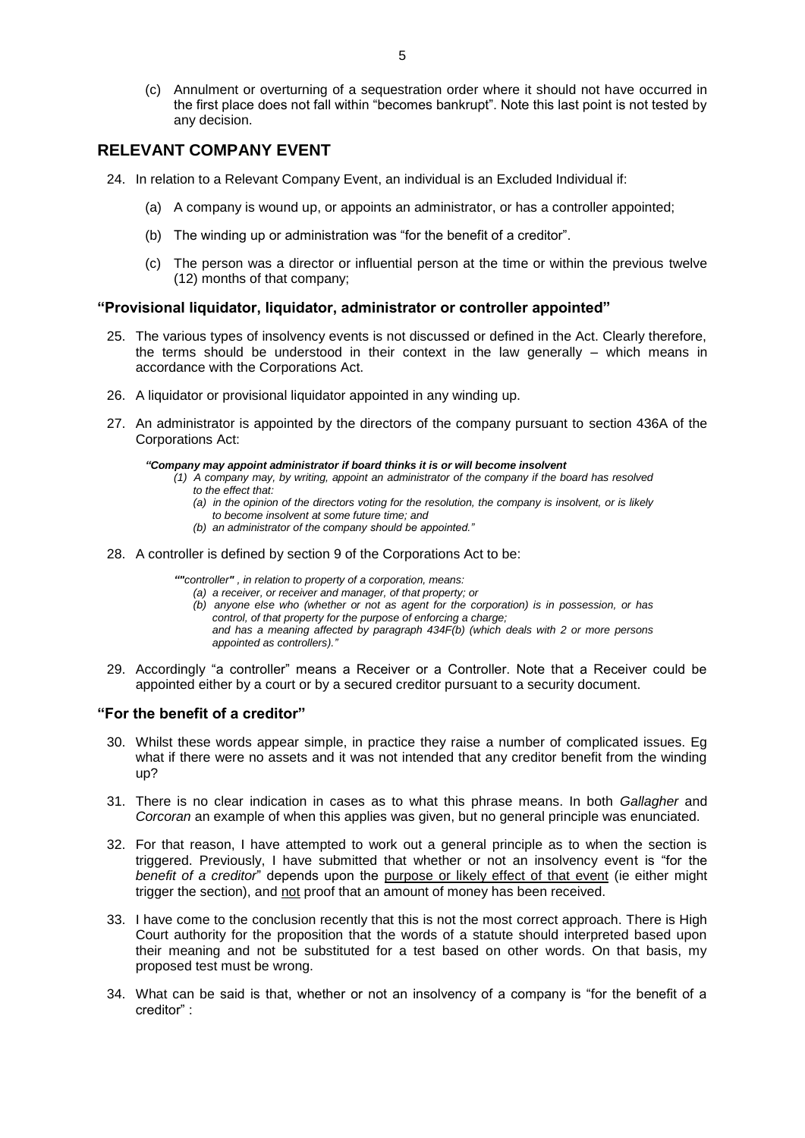(c) Annulment or overturning of a sequestration order where it should not have occurred in the first place does not fall within "becomes bankrupt". Note this last point is not tested by any decision.

# **RELEVANT COMPANY EVENT**

- 24. In relation to a Relevant Company Event, an individual is an Excluded Individual if:
	- (a) A company is wound up, or appoints an administrator, or has a controller appointed;
	- (b) The winding up or administration was "for the benefit of a creditor".
	- (c) The person was a director or influential person at the time or within the previous twelve (12) months of that company;

### **"Provisional liquidator, liquidator, administrator or controller appointed"**

- 25. The various types of insolvency events is not discussed or defined in the Act. Clearly therefore, the terms should be understood in their context in the law generally – which means in accordance with the Corporations Act.
- 26. A liquidator or provisional liquidator appointed in any winding up.
- 27. An administrator is appointed by the directors of the company pursuant to section 436A of the Corporations Act:

#### *"Company may appoint administrator if board thinks it is or will become insolvent*

- *(1) A [company](http://www.austlii.edu.au/au/legis/cth/consol_act/ca2001172/s9.html#company) may, by writing, appoint an [administrator](http://www.austlii.edu.au/au/legis/cth/consol_act/ca2001172/s9.html#administrator) of the [company](http://www.austlii.edu.au/au/legis/cth/consol_act/ca2001172/s9.html#company) if the [board](http://www.austlii.edu.au/au/legis/cth/consol_act/ca2001172/s9.html#board) has resolved to the effect that:* 
	- *(a) in the opinion of the [directors](http://www.austlii.edu.au/au/legis/cth/consol_act/ca2001172/s9.html#director) voting for the resolution, th[e company](http://www.austlii.edu.au/au/legis/cth/consol_act/ca2001172/s9.html#company) is [insolvent,](http://www.austlii.edu.au/au/legis/cth/consol_act/ca2001172/s9.html#insolvent) or is likely to becom[e insolvent](http://www.austlii.edu.au/au/legis/cth/consol_act/ca2001172/s9.html#insolvent) at some future time; and*
	- *(b) a[n administrator](http://www.austlii.edu.au/au/legis/cth/consol_act/ca2001172/s9.html#administrator) of the [company](http://www.austlii.edu.au/au/legis/cth/consol_act/ca2001172/s9.html#company) should be appointed."*
- 28. A controller is defined by section 9 of the Corporations Act to be:

*""controller" , in relation t[o property](http://www.austlii.edu.au/au/legis/cth/consol_act/ca2001172/s9.html#property) of a [corporation,](http://www.austlii.edu.au/au/legis/cth/consol_act/ca2001172/s9.html#corporation) means:* 

- *(a) a [receiver,](http://www.austlii.edu.au/au/legis/cth/consol_act/ca2001172/s9.html#receiver) or [receiver and manager,](http://www.austlii.edu.au/au/legis/cth/consol_act/ca2001172/s9.html#receiver_and_manager) of that [property;](http://www.austlii.edu.au/au/legis/cth/consol_act/ca2001172/s9.html#property) or*
- *(b) anyone else who (whether or not as agent for the [corporation\)](http://www.austlii.edu.au/au/legis/cth/consol_act/ca2001172/s9.html#corporation) is in [possession,](http://www.austlii.edu.au/au/legis/cth/consol_act/ca2001172/s9.html#possession) or has [control,](http://www.austlii.edu.au/au/legis/cth/consol_act/ca2001172/s9.html#control) of that [property](http://www.austlii.edu.au/au/legis/cth/consol_act/ca2001172/s9.html#property) for the purpose of enforcing [a charge;](http://www.austlii.edu.au/au/legis/cth/consol_act/ca2001172/s9.html#charge) and has a meaning affected by paragraph 434F(b) (which [deals](http://www.austlii.edu.au/au/legis/cth/consol_act/ca2001172/s9.html#deal) with 2 or more [persons](http://www.austlii.edu.au/au/legis/cth/consol_act/ca2001172/s9.html#person)*
- *appointed as [controllers\)](http://www.austlii.edu.au/au/legis/cth/consol_act/ca2001172/s9.html#controller)."*
- 29. Accordingly "a controller" means a Receiver or a Controller. Note that a Receiver could be appointed either by a court or by a secured creditor pursuant to a security document.

#### **"For the benefit of a creditor"**

- 30. Whilst these words appear simple, in practice they raise a number of complicated issues. Eg what if there were no assets and it was not intended that any creditor benefit from the winding up?
- 31. There is no clear indication in cases as to what this phrase means. In both *Gallagher* and *Corcoran* an example of when this applies was given, but no general principle was enunciated.
- 32. For that reason, I have attempted to work out a general principle as to when the section is triggered. Previously, I have submitted that whether or not an insolvency event is "for the *benefit of a creditor*" depends upon the purpose or likely effect of that event (ie either might trigger the section), and not proof that an amount of money has been received.
- 33. I have come to the conclusion recently that this is not the most correct approach. There is High Court authority for the proposition that the words of a statute should interpreted based upon their meaning and not be substituted for a test based on other words. On that basis, my proposed test must be wrong.
- 34. What can be said is that, whether or not an insolvency of a company is "for the benefit of a creditor" :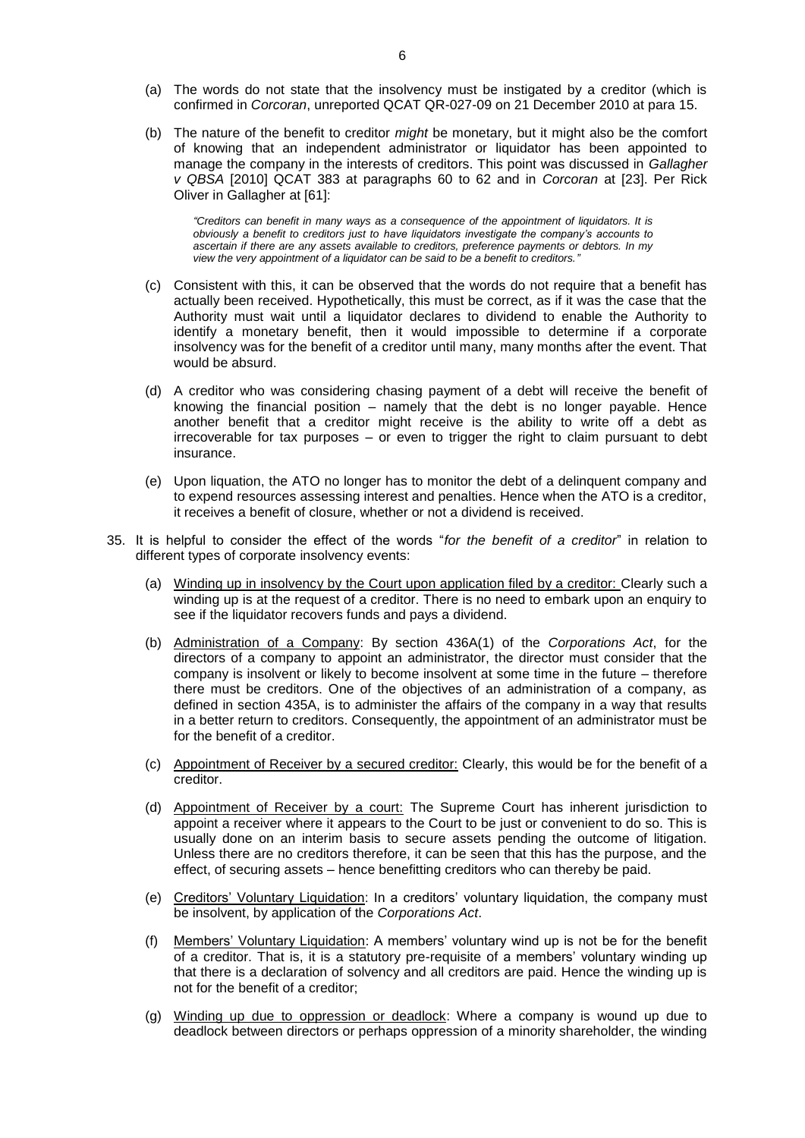- (a) The words do not state that the insolvency must be instigated by a creditor (which is confirmed in *Corcoran*, unreported QCAT QR-027-09 on 21 December 2010 at para 15.
- (b) The nature of the benefit to creditor *might* be monetary, but it might also be the comfort of knowing that an independent administrator or liquidator has been appointed to manage the company in the interests of creditors. This point was discussed in *Gallagher v QBSA* [2010] QCAT 383 at paragraphs 60 to 62 and in *Corcoran* at [23]. Per Rick Oliver in Gallagher at [61]:

*"Creditors can benefit in many ways as a consequence of the appointment of liquidators. It is obviously a benefit to creditors just to have liquidators investigate the company's accounts to ascertain if there are any assets available to creditors, preference payments or debtors. In my view the very appointment of a liquidator can be said to be a benefit to creditors."*

- (c) Consistent with this, it can be observed that the words do not require that a benefit has actually been received. Hypothetically, this must be correct, as if it was the case that the Authority must wait until a liquidator declares to dividend to enable the Authority to identify a monetary benefit, then it would impossible to determine if a corporate insolvency was for the benefit of a creditor until many, many months after the event. That would be absurd.
- (d) A creditor who was considering chasing payment of a debt will receive the benefit of knowing the financial position – namely that the debt is no longer payable. Hence another benefit that a creditor might receive is the ability to write off a debt as irrecoverable for tax purposes – or even to trigger the right to claim pursuant to debt insurance.
- (e) Upon liquation, the ATO no longer has to monitor the debt of a delinquent company and to expend resources assessing interest and penalties. Hence when the ATO is a creditor, it receives a benefit of closure, whether or not a dividend is received.
- 35. It is helpful to consider the effect of the words "*for the benefit of a creditor*" in relation to different types of corporate insolvency events:
	- (a) Winding up in insolvency by the Court upon application filed by a creditor: Clearly such a winding up is at the request of a creditor. There is no need to embark upon an enquiry to see if the liquidator recovers funds and pays a dividend.
	- (b) Administration of a Company: By section 436A(1) of the *Corporations Act*, for the directors of a company to appoint an administrator, the director must consider that the company is insolvent or likely to become insolvent at some time in the future – therefore there must be creditors. One of the objectives of an administration of a company, as defined in section 435A, is to administer the affairs of the company in a way that results in a better return to creditors. Consequently, the appointment of an administrator must be for the benefit of a creditor.
	- (c) Appointment of Receiver by a secured creditor: Clearly, this would be for the benefit of a creditor.
	- (d) Appointment of Receiver by a court: The Supreme Court has inherent jurisdiction to appoint a receiver where it appears to the Court to be just or convenient to do so. This is usually done on an interim basis to secure assets pending the outcome of litigation. Unless there are no creditors therefore, it can be seen that this has the purpose, and the effect, of securing assets – hence benefitting creditors who can thereby be paid.
	- (e) Creditors' Voluntary Liquidation: In a creditors' voluntary liquidation, the company must be insolvent, by application of the *Corporations Act*.
	- (f) Members' Voluntary Liquidation: A members' voluntary wind up is not be for the benefit of a creditor. That is, it is a statutory pre-requisite of a members' voluntary winding up that there is a declaration of solvency and all creditors are paid. Hence the winding up is not for the benefit of a creditor;
	- (g) Winding up due to oppression or deadlock: Where a company is wound up due to deadlock between directors or perhaps oppression of a minority shareholder, the winding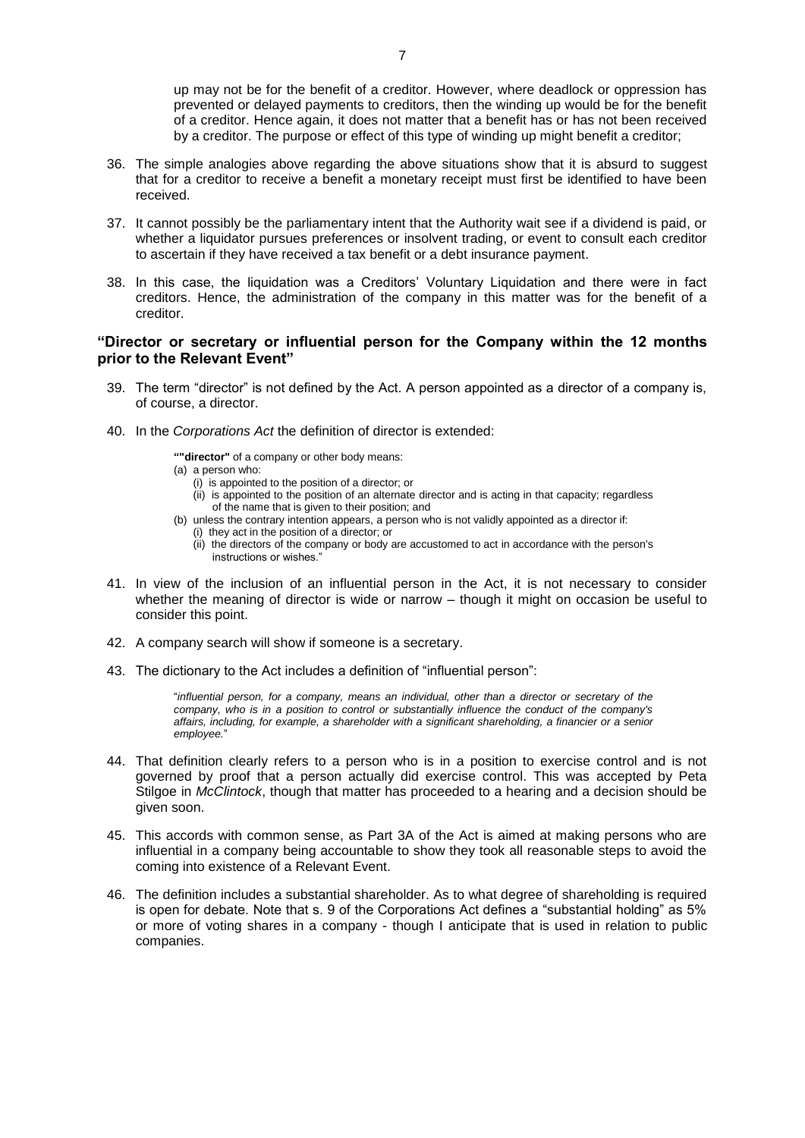up may not be for the benefit of a creditor. However, where deadlock or oppression has prevented or delayed payments to creditors, then the winding up would be for the benefit of a creditor. Hence again, it does not matter that a benefit has or has not been received by a creditor. The purpose or effect of this type of winding up might benefit a creditor;

- 36. The simple analogies above regarding the above situations show that it is absurd to suggest that for a creditor to receive a benefit a monetary receipt must first be identified to have been received.
- 37. It cannot possibly be the parliamentary intent that the Authority wait see if a dividend is paid, or whether a liquidator pursues preferences or insolvent trading, or event to consult each creditor to ascertain if they have received a tax benefit or a debt insurance payment.
- 38. In this case, the liquidation was a Creditors' Voluntary Liquidation and there were in fact creditors. Hence, the administration of the company in this matter was for the benefit of a creditor.

### **"Director or secretary or influential person for the Company within the 12 months prior to the Relevant Event"**

- 39. The term "director" is not defined by the Act. A person appointed as a director of a company is, of course, a director.
- 40. In the *Corporations Act* the definition of director is extended:

**""director"** of a [company](http://www.austlii.edu.au/au/legis/cth/consol_act/ca2001172/s9.html#company) or othe[r body](http://www.austlii.edu.au/au/legis/cth/consol_act/ca2001172/s9.html#body) means:

- (a) [a person](http://www.austlii.edu.au/au/legis/cth/consol_act/ca2001172/s9.html#person) who:
	- (i) is appointed to the position of [a director;](http://www.austlii.edu.au/au/legis/cth/consol_act/ca2001172/s9.html#director) or
	- (ii) is appointed to the position of an alternate [director](http://www.austlii.edu.au/au/legis/cth/consol_act/ca2001172/s9.html#director) and is acting in that capacity; regardless of the name that is given to their position; and
- (b) unless the contrary intention appears, [a person](http://www.austlii.edu.au/au/legis/cth/consol_act/ca2001172/s9.html#person) who is not validly appointed as [a director](http://www.austlii.edu.au/au/legis/cth/consol_act/ca2001172/s9.html#director) if: (i) they act in the position of a [director;](http://www.austlii.edu.au/au/legis/cth/consol_act/ca2001172/s9.html#director) or
	- (ii) the [directors](http://www.austlii.edu.au/au/legis/cth/consol_act/ca2001172/s9.html#director) of th[e company](http://www.austlii.edu.au/au/legis/cth/consol_act/ca2001172/s9.html#company) o[r body](http://www.austlii.edu.au/au/legis/cth/consol_act/ca2001172/s9.html#body) are accustomed to act in accordance with the [person's](http://www.austlii.edu.au/au/legis/cth/consol_act/ca2001172/s9.html#person) instructions or wishes."
- 41. In view of the inclusion of an influential person in the Act, it is not necessary to consider whether the meaning of director is wide or narrow – though it might on occasion be useful to consider this point.
- 42. A company search will show if someone is a secretary.
- 43. The dictionary to the Act includes a definition of "influential person":

"*influential person, for a company, means an individual, other than a director or secretary of the company, who is in a position to control or substantially influence the conduct of the company's affairs, including, for example, a shareholder with a significant shareholding, a financier or a senior employee.*"

- 44. That definition clearly refers to a person who is in a position to exercise control and is not governed by proof that a person actually did exercise control. This was accepted by Peta Stilgoe in *McClintock*, though that matter has proceeded to a hearing and a decision should be given soon.
- 45. This accords with common sense, as Part 3A of the Act is aimed at making persons who are influential in a company being accountable to show they took all reasonable steps to avoid the coming into existence of a Relevant Event.
- 46. The definition includes a substantial shareholder. As to what degree of shareholding is required is open for debate. Note that s. 9 of the Corporations Act defines a "substantial holding" as 5% or more of voting shares in a company - though I anticipate that is used in relation to public companies.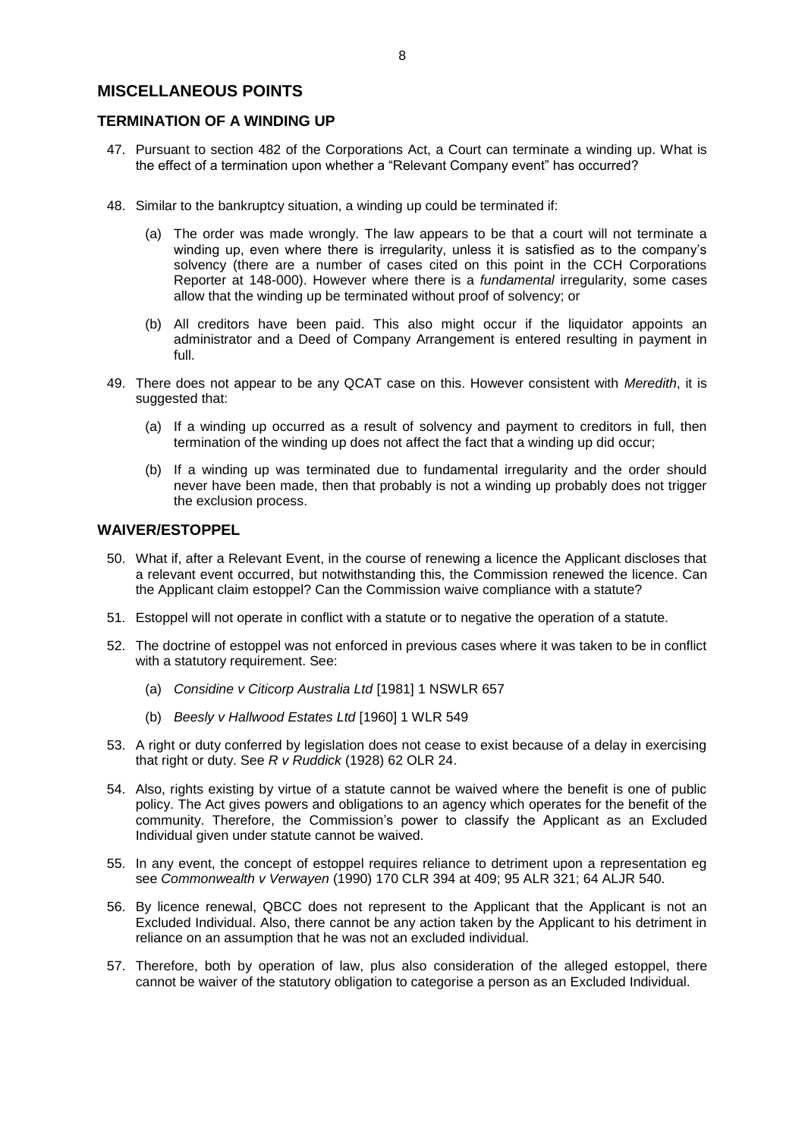# **MISCELLANEOUS POINTS**

# **TERMINATION OF A WINDING UP**

- 47. Pursuant to section 482 of the Corporations Act, a Court can terminate a winding up. What is the effect of a termination upon whether a "Relevant Company event" has occurred?
- 48. Similar to the bankruptcy situation, a winding up could be terminated if:
	- (a) The order was made wrongly. The law appears to be that a court will not terminate a winding up, even where there is irregularity, unless it is satisfied as to the company's solvency (there are a number of cases cited on this point in the CCH Corporations Reporter at 148-000). However where there is a *fundamental* irregularity, some cases allow that the winding up be terminated without proof of solvency; or
	- (b) All creditors have been paid. This also might occur if the liquidator appoints an administrator and a Deed of Company Arrangement is entered resulting in payment in full.
- 49. There does not appear to be any QCAT case on this. However consistent with *Meredith*, it is suggested that:
	- (a) If a winding up occurred as a result of solvency and payment to creditors in full, then termination of the winding up does not affect the fact that a winding up did occur;
	- (b) If a winding up was terminated due to fundamental irregularity and the order should never have been made, then that probably is not a winding up probably does not trigger the exclusion process.

## **WAIVER/ESTOPPEL**

- 50. What if, after a Relevant Event, in the course of renewing a licence the Applicant discloses that a relevant event occurred, but notwithstanding this, the Commission renewed the licence. Can the Applicant claim estoppel? Can the Commission waive compliance with a statute?
- 51. Estoppel will not operate in conflict with a statute or to negative the operation of a statute.
- 52. The doctrine of estoppel was not enforced in previous cases where it was taken to be in conflict with a statutory requirement. See:
	- (a) *Considine v Citicorp Australia Ltd* [1981] 1 NSWLR 657
	- (b) *Beesly v Hallwood Estates Ltd* [1960] 1 WLR 549
- 53. A right or duty conferred by legislation does not cease to exist because of a delay in exercising that right or duty. See *R v Ruddick* (1928) 62 OLR 24.
- 54. Also, rights existing by virtue of a statute cannot be waived where the benefit is one of public policy. The Act gives powers and obligations to an agency which operates for the benefit of the community. Therefore, the Commission's power to classify the Applicant as an Excluded Individual given under statute cannot be waived.
- 55. In any event, the concept of estoppel requires reliance to detriment upon a representation eg see *Commonwealth v Verwayen* (1990) 170 CLR 394 at 409; 95 ALR 321; 64 ALJR 540.
- 56. By licence renewal, QBCC does not represent to the Applicant that the Applicant is not an Excluded Individual. Also, there cannot be any action taken by the Applicant to his detriment in reliance on an assumption that he was not an excluded individual.
- 57. Therefore, both by operation of law, plus also consideration of the alleged estoppel, there cannot be waiver of the statutory obligation to categorise a person as an Excluded Individual.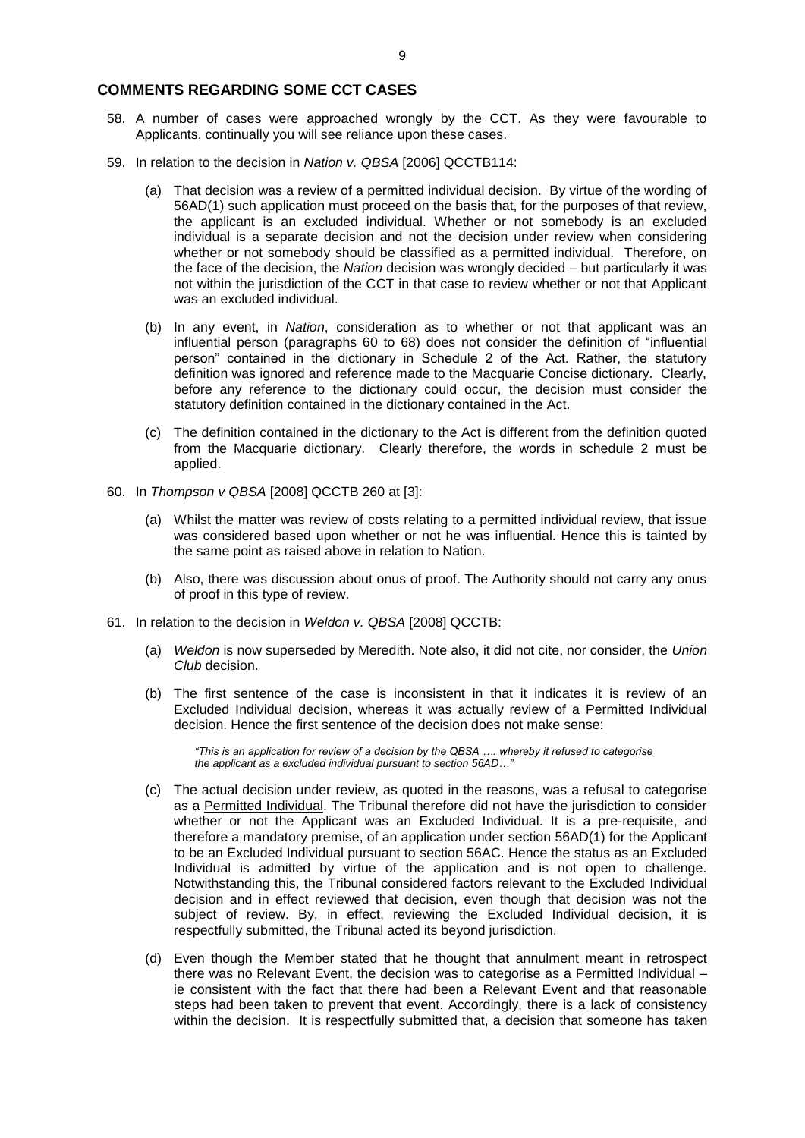### **COMMENTS REGARDING SOME CCT CASES**

- 58. A number of cases were approached wrongly by the CCT. As they were favourable to Applicants, continually you will see reliance upon these cases.
- 59. In relation to the decision in *Nation v. QBSA* [2006] QCCTB114:
	- (a) That decision was a review of a permitted individual decision. By virtue of the wording of 56AD(1) such application must proceed on the basis that, for the purposes of that review, the applicant is an excluded individual. Whether or not somebody is an excluded individual is a separate decision and not the decision under review when considering whether or not somebody should be classified as a permitted individual. Therefore, on the face of the decision, the *Nation* decision was wrongly decided – but particularly it was not within the jurisdiction of the CCT in that case to review whether or not that Applicant was an excluded individual.
	- (b) In any event, in *Nation*, consideration as to whether or not that applicant was an influential person (paragraphs 60 to 68) does not consider the definition of "influential person" contained in the dictionary in Schedule 2 of the Act. Rather, the statutory definition was ignored and reference made to the Macquarie Concise dictionary. Clearly, before any reference to the dictionary could occur, the decision must consider the statutory definition contained in the dictionary contained in the Act.
	- (c) The definition contained in the dictionary to the Act is different from the definition quoted from the Macquarie dictionary. Clearly therefore, the words in schedule 2 must be applied.
- 60. In *Thompson v QBSA* [2008] QCCTB 260 at [3]:
	- (a) Whilst the matter was review of costs relating to a permitted individual review, that issue was considered based upon whether or not he was influential. Hence this is tainted by the same point as raised above in relation to Nation.
	- (b) Also, there was discussion about onus of proof. The Authority should not carry any onus of proof in this type of review.
- 61. In relation to the decision in *Weldon v. QBSA* [2008] QCCTB:
	- (a) *Weldon* is now superseded by Meredith. Note also, it did not cite, nor consider, the *Union Club* decision.
	- (b) The first sentence of the case is inconsistent in that it indicates it is review of an Excluded Individual decision, whereas it was actually review of a Permitted Individual decision. Hence the first sentence of the decision does not make sense:

*"This is an application for review of a decision by the QBSA …. whereby it refused to categorise the applicant as a excluded individual pursuant to section 56AD…"*

- (c) The actual decision under review, as quoted in the reasons, was a refusal to categorise as a Permitted Individual. The Tribunal therefore did not have the jurisdiction to consider whether or not the Applicant was an Excluded Individual. It is a pre-requisite, and therefore a mandatory premise, of an application under section 56AD(1) for the Applicant to be an Excluded Individual pursuant to section 56AC. Hence the status as an Excluded Individual is admitted by virtue of the application and is not open to challenge. Notwithstanding this, the Tribunal considered factors relevant to the Excluded Individual decision and in effect reviewed that decision, even though that decision was not the subject of review. By, in effect, reviewing the Excluded Individual decision, it is respectfully submitted, the Tribunal acted its beyond jurisdiction.
- (d) Even though the Member stated that he thought that annulment meant in retrospect there was no Relevant Event, the decision was to categorise as a Permitted Individual – ie consistent with the fact that there had been a Relevant Event and that reasonable steps had been taken to prevent that event. Accordingly, there is a lack of consistency within the decision. It is respectfully submitted that, a decision that someone has taken